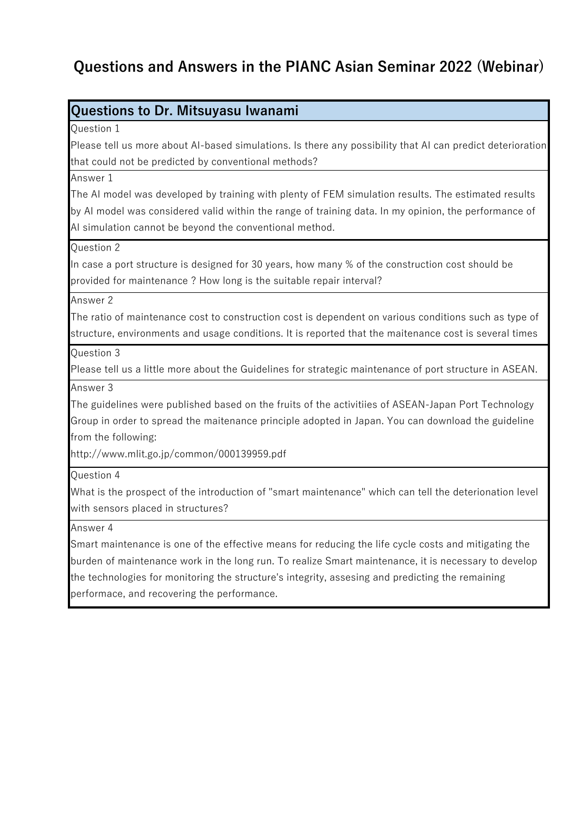### **Questions to Dr. Mitsuyasu Iwanami**

Question 1

Please tell us more about AI-based simulations. Is there any possibility that AI can predict deterioration that could not be predicted by conventional methods?

Answer 1

The AI model was developed by training with plenty of FEM simulation results. The estimated results by AI model was considered valid within the range of training data. In my opinion, the performance of AI simulation cannot be beyond the conventional method.

Question 2

In case a port structure is designed for 30 years, how many % of the construction cost should be provided for maintenance ? How long is the suitable repair interval?

Answer 2

The ratio of maintenance cost to construction cost is dependent on various conditions such as type of structure, environments and usage conditions. It is reported that the maitenance cost is several times

 $\Omega$ uestion 3

Please tell us a little more about the Guidelines for strategic maintenance of port structure in ASEAN.

Answer 3

The guidelines were published based on the fruits of the activitiies of ASEAN-Japan Port Technology Group in order to spread the maitenance principle adopted in Japan. You can download the guideline from the following:

http://www.mlit.go.jp/common/000139959.pdf

Question 4

What is the prospect of the introduction of "smart maintenance" which can tell the deterionation level with sensors placed in structures?

Answer 4

Smart maintenance is one of the effective means for reducing the life cycle costs and mitigating the burden of maintenance work in the long run. To realize Smart maintenance, it is necessary to develop the technologies for monitoring the structure's integrity, assesing and predicting the remaining performace, and recovering the performance.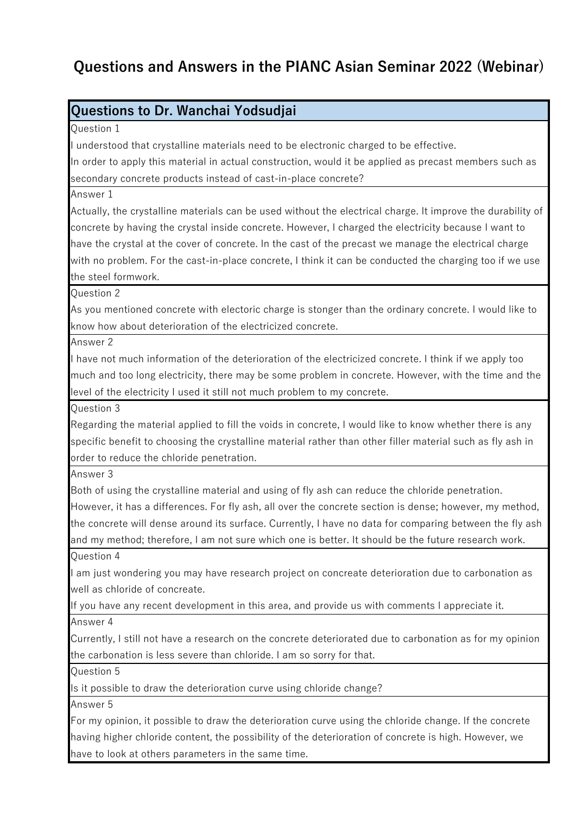## **Questions to Dr. Wanchai Yodsudjai**

Question 1

I understood that crystalline materials need to be electronic charged to be effective.

In order to apply this material in actual construction, would it be applied as precast members such as secondary concrete products instead of cast-in-place concrete?

Answer 1

Actually, the crystalline materials can be used without the electrical charge. It improve the durability of concrete by having the crystal inside concrete. However, I charged the electricity because I want to have the crystal at the cover of concrete. In the cast of the precast we manage the electrical charge with no problem. For the cast-in-place concrete, I think it can be conducted the charging too if we use the steel formwork.

Question 2

As you mentioned concrete with electoric charge is stonger than the ordinary concrete. I would like to know how about deterioration of the electricized concrete.

Answer 2

I have not much information of the deterioration of the electricized concrete. I think if we apply too much and too long electricity, there may be some problem in concrete. However, with the time and the level of the electricity I used it still not much problem to my concrete.

Question 3

Regarding the material applied to fill the voids in concrete, I would like to know whether there is any specific benefit to choosing the crystalline material rather than other filler material such as fly ash in order to reduce the chloride penetration.

Answer 3

Both of using the crystalline material and using of fly ash can reduce the chloride penetration.

However, it has a differences. For fly ash, all over the concrete section is dense; however, my method, the concrete will dense around its surface. Currently, I have no data for comparing between the fly ash and my method; therefore, I am not sure which one is better. It should be the future research work.

Question 4

I am just wondering you may have research project on concreate deterioration due to carbonation as well as chloride of concreate.

If you have any recent development in this area, and provide us with comments I appreciate it. Answer 4

Currently, I still not have a research on the concrete deteriorated due to carbonation as for my opinion

the carbonation is less severe than chloride. I am so sorry for that. Question 5 Is it possible to draw the deterioration curve using chloride change? Answer 5 For my opinion, it possible to draw the deterioration curve using the chloride change. If the concrete having higher chloride content, the possibility of the deterioration of concrete is high. However, we have to look at others parameters in the same time.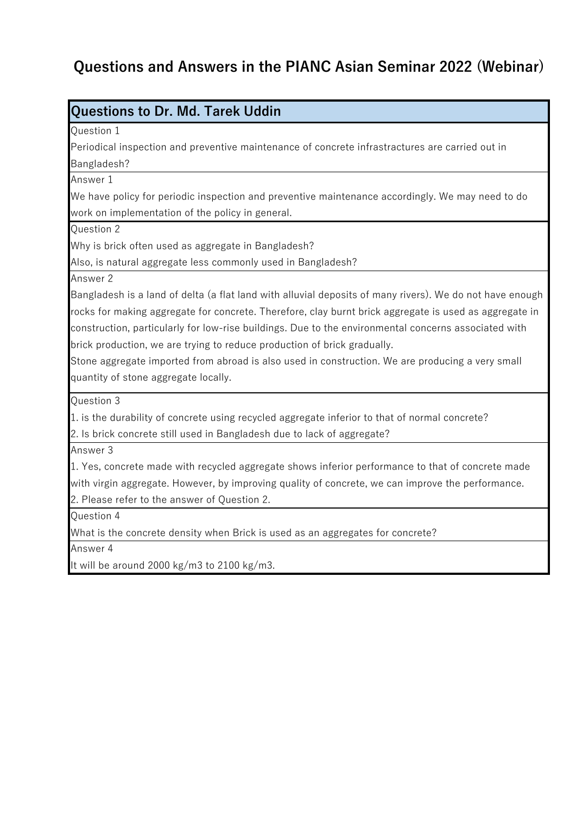**Questions to Dr. Md. Tarek Uddin**

| <b>UUGSLIVIIS LU DI. IVIU. TATUR UUUIII</b>                                                      |
|--------------------------------------------------------------------------------------------------|
| Question 1                                                                                       |
| Periodical inspection and preventive maintenance of concrete infrastractures are carried out in  |
| Bangladesh?                                                                                      |
| Answer 1                                                                                         |
| We have policy for periodic inspection and preventive maintenance accordingly. We may need to do |
| work on implementation of the policy in general.                                                 |
| Question 2                                                                                       |
| Why is brick often used as aggregate in Bangladesh?                                              |
| Also, is natural aggregate less commonly used in Bangladesh?                                     |

Answer 2

Bangladesh is a land of delta (a flat land with alluvial deposits of many rivers). We do not have enough rocks for making aggregate for concrete. Therefore, clay burnt brick aggregate is used as aggregate in construction, particularly for low-rise buildings. Due to the environmental concerns associated with brick production, we are trying to reduce production of brick gradually.

Stone aggregate imported from abroad is also used in construction. We are producing a very small quantity of stone aggregate locally.

Question 3

1. is the durability of concrete using recycled aggregate inferior to that of normal concrete?

2. Is brick concrete still used in Bangladesh due to lack of aggregate?

Answer 3

1. Yes, concrete made with recycled aggregate shows inferior performance to that of concrete made with virgin aggregate. However, by improving quality of concrete, we can improve the performance.

2. Please refer to the answer of Question 2.

Question 4

What is the concrete density when Brick is used as an aggregates for concrete?

Answer 4

It will be around 2000 kg/m3 to 2100 kg/m3.